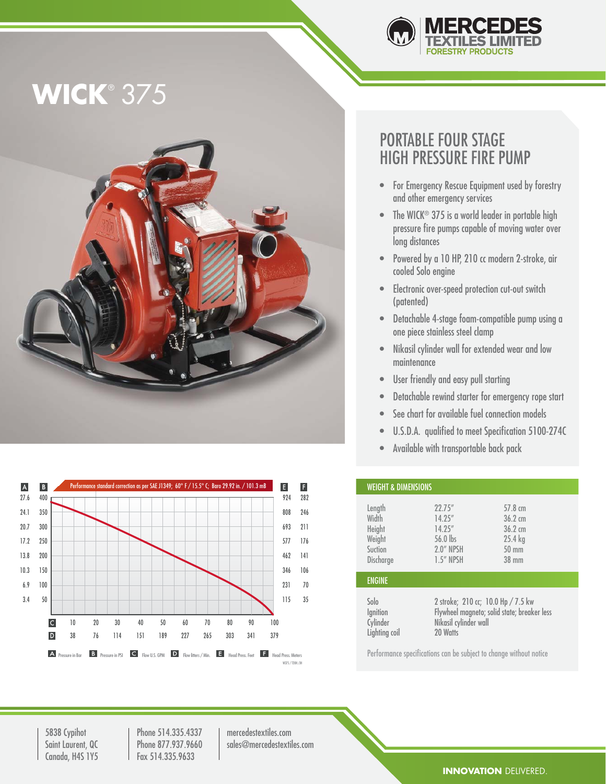

# **WICK**® 375





### PORTABLE FOUR STAGE HIGH PRESSURE FIRE PUMP

- For Emergency Rescue Equipment used by forestry and other emergency services
- The WICK® 375 is a world leader in portable high pressure fire pumps capable of moving water over long distances
- Powered by a 10 HP, 210 cc modern 2-stroke, air cooled Solo engine
- Electronic over-speed protection cut-out switch (patented)
- Detachable 4-stage foam-compatible pump using a one piece stainless steel clamp
- Nikasil cylinder wall for extended wear and low maintenance
- User friendly and easy pull starting
- Detachable rewind starter for emergency rope start
- See chart for available fuel connection models
- U.S.D.A. qualified to meet Specification 5100-274C
- Available with transportable back pack

| <b>WEIGHT &amp; DIMENSIONS</b>                              |                                                                                                                        |                                                                                                      |  |
|-------------------------------------------------------------|------------------------------------------------------------------------------------------------------------------------|------------------------------------------------------------------------------------------------------|--|
| Length<br>Width<br>Height<br>Weight<br>Suction<br>Discharge | 22.75''<br>14.25''<br>14.25''<br>56.0 lbs<br>2.0" NPSH<br>$1.5''$ NPSH                                                 | $57.8 \text{ cm}$<br>$36.2 \text{ cm}$<br>$36.2 \text{ cm}$<br>$25.4$ kg<br>$50 \text{ mm}$<br>38 mm |  |
| <b>ENGINE</b>                                               |                                                                                                                        |                                                                                                      |  |
| Solo<br>lgnition<br>Cylinder<br>Lighting coil               | 2 stroke; 210 cc; 10.0 Hp / 7.5 kw<br>Flywheel magneto; solid state; breaker less<br>Nikasil cylinder wall<br>20 Watts |                                                                                                      |  |

Performance specifications can be subject to change without notice

5838 Cypihot Saint Laurent, QC Canada, H4S 1Y5

Phone 514.335.4337 Phone 877.937.9660 Fax 514.335.9633

mercedestextiles.com sales@mercedestextiles.com

**INNOVATION** DELIVERED